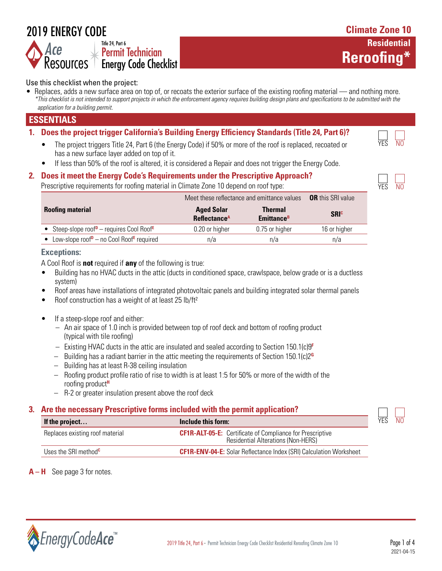# 2019 ENERGY CODE



**Residential Reroofing\*** 

#### Use this checklist when the project:

• Replaces, adds a new surface area on top of, or recoats the exterior surface of the existing roofing material — and nothing more. *\*This checklist is not intended to support projects in which the enforcement agency requires building design plans and specifications to be submitted with the application for a building permit.*

## **ESSENTIALS**

# **1. Does the project trigger California's Building Energy Efficiency Standards (Title 24, Part 6)?**

- The project triggers Title 24, Part 6 (the Energy Code) if 50% or more of the roof is replaced, recoated or has a new surface layer added on top of it.
- If less than 50% of the roof is altered, it is considered a Repair and does not trigger the Energy Code.

## **2. Does it meet the Energy Code's Requirements under the Prescriptive Approach?**

Prescriptive requirements for roofing material in Climate Zone 10 depend on roof type:



|                                                                   | Meet these reflectance and emittance values   |                                                 | <b>OR</b> this SRI value |
|-------------------------------------------------------------------|-----------------------------------------------|-------------------------------------------------|--------------------------|
| <b>Roofing material</b>                                           | <b>Aged Solar</b><br>Reflectance <sup>A</sup> | <b>Thermal</b><br><b>Emittance</b> <sup>B</sup> | <b>SRIC</b>              |
| • Steep-slope roof <sup>D</sup> – requires Cool Roof <sup>E</sup> | 0.20 or higher                                | 0.75 or higher                                  | 16 or higher             |
| Low-slope roof $P$ – no Cool Roof <sup>E</sup> required           | n/a                                           | n/a                                             | n/a                      |

#### **Exceptions:**

A Cool Roof is **not** required if **any** of the following is true:

- Building has no HVAC ducts in the attic (ducts in conditioned space, crawlspace, below grade or is a ductless system)
- Roof areas have installations of integrated photovoltaic panels and building integrated solar thermal panels
- Roof construction has a weight of at least 25 lb/ft<sup>2</sup>
- If a steep-slope roof and either:
	- An air space of 1.0 inch is provided between top of roof deck and bottom of roofing product (typical with tile roofing)
	- Existing HVAC ducts in the attic are insulated and sealed according to Section 150.1(c)9**<sup>F</sup>**
	- Building has a radiant barrier in the attic meeting the requirements of Section 150.1(c)2**<sup>G</sup>**
	- Building has at least R-38 ceiling insulation
	- Roofing product profile ratio of rise to width is at least 1:5 for 50% or more of the width of the roofing product**<sup>H</sup>**
	- R-2 or greater insulation present above the roof deck

# **3. Are the necessary Prescriptive forms included with the permit application?**

| If the project                   | Include this form:                                                                                            | YES |
|----------------------------------|---------------------------------------------------------------------------------------------------------------|-----|
| Replaces existing roof material  | <b>CF1R-ALT-05-E:</b> Certificate of Compliance for Prescriptive<br><b>Residential Alterations (Non-HERS)</b> |     |
| Uses the SRI method <sup>c</sup> | <b>CF1R-ENV-04-E:</b> Solar Reflectance Index (SRI) Calculation Worksheet                                     |     |

#### **A – H** See page 3 for notes.



 $N<sub>0</sub>$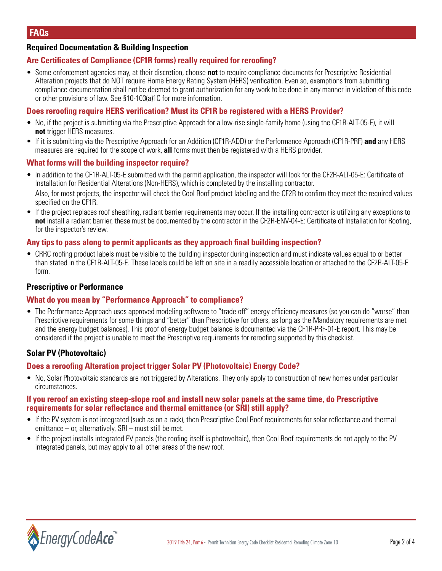## **Required Documentation & Building Inspection**

## **Are Certificates of Compliance (CF1R forms) really required for reroofing?**

• Some enforcement agencies may, at their discretion, choose **not** to require compliance documents for Prescriptive Residential Alteration projects that do NOT require Home Energy Rating System (HERS) verification. Even so, exemptions from submitting compliance documentation shall not be deemed to grant authorization for any work to be done in any manner in violation of this code or other provisions of law. See §10-103(a)1C for more information.

## **Does reroofing require HERS verification? Must its CF1R be registered with a HERS Provider?**

- No, if the project is submitting via the Prescriptive Approach for a low-rise single-family home (using the CF1R-ALT-05-E), it will **not** trigger HERS measures.
- If it is submitting via the Prescriptive Approach for an Addition (CF1R-ADD) or the Performance Approach (CF1R-PRF) **and** any HERS measures are required for the scope of work, **all** forms must then be registered with a HERS provider.

#### **What forms will the building inspector require?**

• In addition to the CF1R-ALT-05-E submitted with the permit application, the inspector will look for the CF2R-ALT-05-E: Certificate of Installation for Residential Alterations (Non-HERS), which is completed by the installing contractor.

Also, for most projects, the inspector will check the Cool Roof product labeling and the CF2R to confirm they meet the required values specified on the CF1R.

• If the project replaces roof sheathing, radiant barrier requirements may occur. If the installing contractor is utilizing any exceptions to **not** install a radiant barrier, these must be documented by the contractor in the CF2R-ENV-04-E: Certificate of Installation for Roofing, for the inspector's review.

#### **Any tips to pass along to permit applicants as they approach final building inspection?**

• CRRC roofing product labels must be visible to the building inspector during inspection and must indicate values equal to or better than stated in the CF1R-ALT-05-E. These labels could be left on site in a readily accessible location or attached to the CF2R-ALT-05-E form.

#### **Prescriptive or Performance**

#### **What do you mean by "Performance Approach" to compliance?**

• The Performance Approach uses approved modeling software to "trade off" energy efficiency measures (so you can do "worse" than Prescriptive requirements for some things and "better" than Prescriptive for others, as long as the Mandatory requirements are met and the energy budget balances). This proof of energy budget balance is documented via the CF1R-PRF-01-E report. This may be considered if the project is unable to meet the Prescriptive requirements for reroofing supported by this checklist.

#### **Solar PV (Photovoltaic)**

#### **Does a reroofing Alteration project trigger Solar PV (Photovoltaic) Energy Code?**

• No, Solar Photovoltaic standards are not triggered by Alterations. They only apply to construction of new homes under particular circumstances.

#### **If you reroof an existing steep-slope roof and install new solar panels at the same time, do Prescriptive requirements for solar reflectance and thermal emittance (or SRI) still apply?**

- If the PV system is not integrated (such as on a rack), then Prescriptive Cool Roof requirements for solar reflectance and thermal emittance – or, alternatively, SRI – must still be met.
- If the project installs integrated PV panels (the roofing itself is photovoltaic), then Cool Roof requirements do not apply to the PV integrated panels, but may apply to all other areas of the new roof.

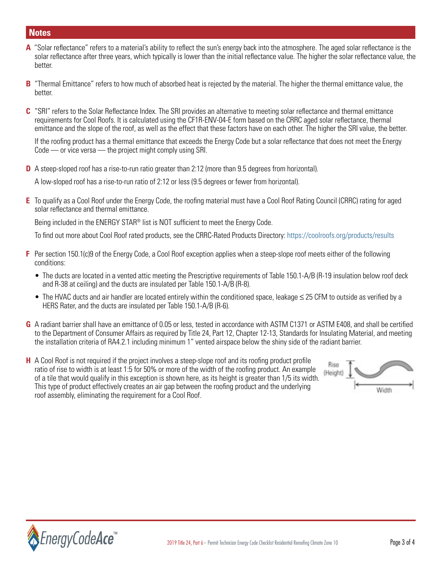## **Notes**

- **A** "Solar reflectance" refers to a material's ability to reflect the sun's energy back into the atmosphere. The aged solar reflectance is the solar reflectance after three years, which typically is lower than the initial reflectance value. The higher the solar reflectance value, the better.
- **B** "Thermal Emittance" refers to how much of absorbed heat is rejected by the material. The higher the thermal emittance value, the better.
- **C** "SRI" refers to the Solar Reflectance Index. The SRI provides an alternative to meeting solar reflectance and thermal emittance requirements for Cool Roofs. It is calculated using the CF1R-ENV-04-E form based on the CRRC aged solar reflectance, thermal emittance and the slope of the roof, as well as the effect that these factors have on each other. The higher the SRI value, the better.

If the roofing product has a thermal emittance that exceeds the Energy Code but a solar reflectance that does not meet the Energy Code — or vice versa — the project might comply using SRI.

**D** A steep-sloped roof has a rise-to-run ratio greater than 2:12 (more than 9.5 degrees from horizontal).

A low-sloped roof has a rise-to-run ratio of 2:12 or less (9.5 degrees or fewer from horizontal).

**E** To qualify as a Cool Roof under the Energy Code, the roofing material must have a Cool Roof Rating Council (CRRC) rating for aged solar reflectance and thermal emittance.

Being included in the ENERGY STAR<sup>®</sup> list is NOT sufficient to meet the Energy Code.

To find out more about Cool Roof rated products, see the CRRC-Rated Products Directory: <https://coolroofs.org/products/results>

- **F** Per section 150.1(c)9 of the Energy Code, a Cool Roof exception applies when a steep-slope roof meets either of the following conditions:
	- The ducts are located in a vented attic meeting the Prescriptive requirements of Table 150.1-A/B (R-19 insulation below roof deck and R-38 at ceiling) and the ducts are insulated per Table 150.1-A/B (R-8).
	- The HVAC ducts and air handler are located entirely within the conditioned space, leakage ≤ 25 CFM to outside as verified by a HERS Rater, and the ducts are insulated per Table 150.1-A/B (R-6).
- **G** A radiant barrier shall have an emittance of 0.05 or less, tested in accordance with ASTM C1371 or ASTM E408, and shall be certified to the Department of Consumer Affairs as required by Title 24, Part 12, Chapter 12-13, Standards for Insulating Material, and meeting the installation criteria of RA4.2.1 including minimum 1" vented airspace below the shiny side of the radiant barrier.
- **H** A Cool Roof is not required if the project involves a steep-slope roof and its roofing product profile ratio of rise to width is at least 1:5 for 50% or more of the width of the roofing product. An example of a tile that would qualify in this exception is shown here, as its height is greater than 1/5 its width. This type of product effectively creates an air gap between the roofing product and the underlying roof assembly, eliminating the requirement for a Cool Roof.